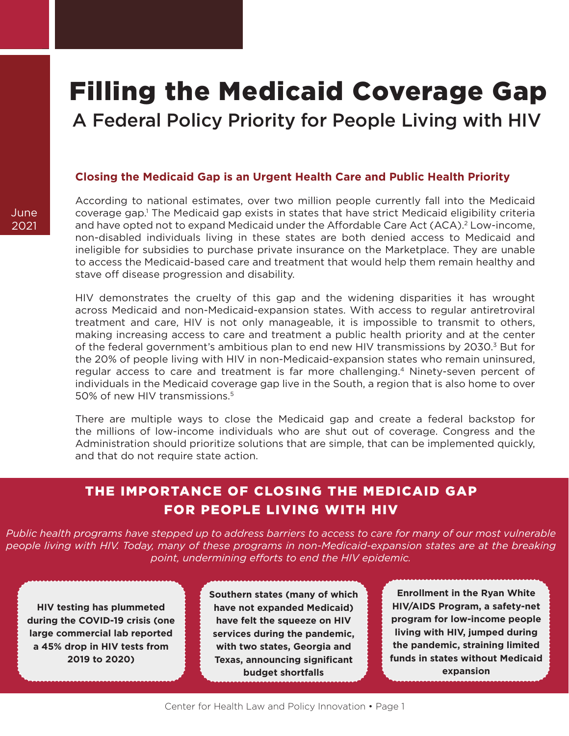# Filling the Medicaid Coverage Gap

A Federal Policy Priority for People Living with HIV

#### **Closing the Medicaid Gap is an Urgent Health Care and Public Health Priority**

According to national estimates, over two million people currently fall into the Medicaid coverage gap.<sup>1</sup> The Medicaid gap exists in states that have strict Medicaid eligibility criteria and have opted not to expand Medicaid under the Affordable Care Act (ACA).<sup>2</sup> Low-income, non-disabled individuals living in these states are both denied access to Medicaid and ineligible for subsidies to purchase private insurance on the Marketplace. They are unable to access the Medicaid-based care and treatment that would help them remain healthy and stave off disease progression and disability.

HIV demonstrates the cruelty of this gap and the widening disparities it has wrought across Medicaid and non-Medicaid-expansion states. With access to regular antiretroviral treatment and care, HIV is not only manageable, it is impossible to transmit to others, making increasing access to care and treatment a public health priority and at the center of the federal government's ambitious plan to end new HIV transmissions by 2030.<sup>3</sup> But for the 20% of people living with HIV in non-Medicaid-expansion states who remain uninsured, regular access to care and treatment is far more challenging.[4](#page-3-0) Ninety-seven percent of individuals in the Medicaid coverage gap live in the South, a region that is also home to over 50% of new HIV transmissions.[5](#page-3-0)

There are multiple ways to close the Medicaid gap and create a federal backstop for the millions of low-income individuals who are shut out of coverage. Congress and the Administration should prioritize solutions that are simple, that can be implemented quickly, and that do not require state action.

# THE IMPORTANCE OF CLOSING THE MEDICAID GAP FOR PEOPLE LIVING WITH HIV

*Public health programs have stepped up to address barriers to access to care for many of our most vulnerable people living with HIV. Today, many of these programs in non-Medicaid-expansion states are at the breaking point, undermining efforts to end the HIV epidemic.* 

**HIV testing has plummeted during the COVID-19 crisis (one large commercial lab reported a 45% drop in HIV tests from 2019 to 2020)**

**Southern states (many of which have not expanded Medicaid) have felt the squeeze on HIV services during the pandemic, with two states, Georgia and Texas, announcing significant budget shortfalls**

**Enrollment in the Ryan White HIV/AIDS Program, a safety-net program for low-income people living with HIV, jumped during the pandemic, straining limited funds in states without Medicaid expansion**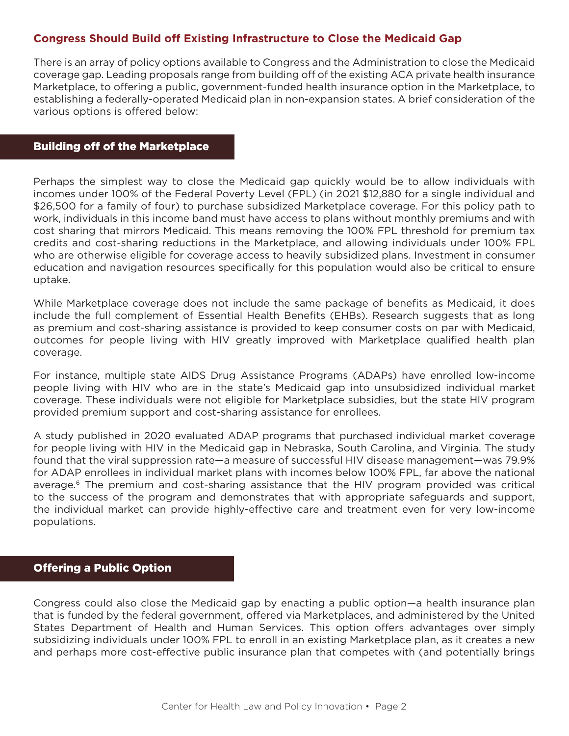## **Congress Should Build off Existing Infrastructure to Close the Medicaid Gap**

There is an array of policy options available to Congress and the Administration to close the Medicaid coverage gap. Leading proposals range from building off of the existing ACA private health insurance Marketplace, to offering a public, government-funded health insurance option in the Marketplace, to establishing a federally-operated Medicaid plan in non-expansion states. A brief consideration of the various options is offered below:

#### Building off of the Marketplace

Perhaps the simplest way to close the Medicaid gap quickly would be to allow individuals with incomes under 100% of the Federal Poverty Level (FPL) (in 2021 \$12,880 for a single individual and \$26,500 for a family of four) to purchase subsidized Marketplace coverage. For this policy path to work, individuals in this income band must have access to plans without monthly premiums and with cost sharing that mirrors Medicaid. This means removing the 100% FPL threshold for premium tax credits and cost-sharing reductions in the Marketplace, and allowing individuals under 100% FPL who are otherwise eligible for coverage access to heavily subsidized plans. Investment in consumer education and navigation resources specifically for this population would also be critical to ensure uptake.

While Marketplace coverage does not include the same package of benefits as Medicaid, it does include the full complement of Essential Health Benefits (EHBs). Research suggests that as long as premium and cost-sharing assistance is provided to keep consumer costs on par with Medicaid, outcomes for people living with HIV greatly improved with Marketplace qualified health plan coverage.

For instance, multiple state AIDS Drug Assistance Programs (ADAPs) have enrolled low-income people living with HIV who are in the state's Medicaid gap into unsubsidized individual market coverage. These individuals were not eligible for Marketplace subsidies, but the state HIV program provided premium support and cost-sharing assistance for enrollees.

A study published in 2020 evaluated ADAP programs that purchased individual market coverage for people living with HIV in the Medicaid gap in Nebraska, South Carolina, and Virginia. The study found that the viral suppression rate—a measure of successful HIV disease management—was 79.9% for ADAP enrollees in individual market plans with incomes below 100% FPL, far above the national average.<sup>6</sup> The premium and cost-sharing assistance that the HIV program provided was critical to the success of the program and demonstrates that with appropriate safeguards and support, the individual market can provide highly-effective care and treatment even for very low-income populations.

#### Offering a Public Option

Congress could also close the Medicaid gap by enacting a public option—a health insurance plan that is funded by the federal government, offered via Marketplaces, and administered by the United States Department of Health and Human Services. This option offers advantages over simply subsidizing individuals under 100% FPL to enroll in an existing Marketplace plan, as it creates a new and perhaps more cost-effective public insurance plan that competes with (and potentially brings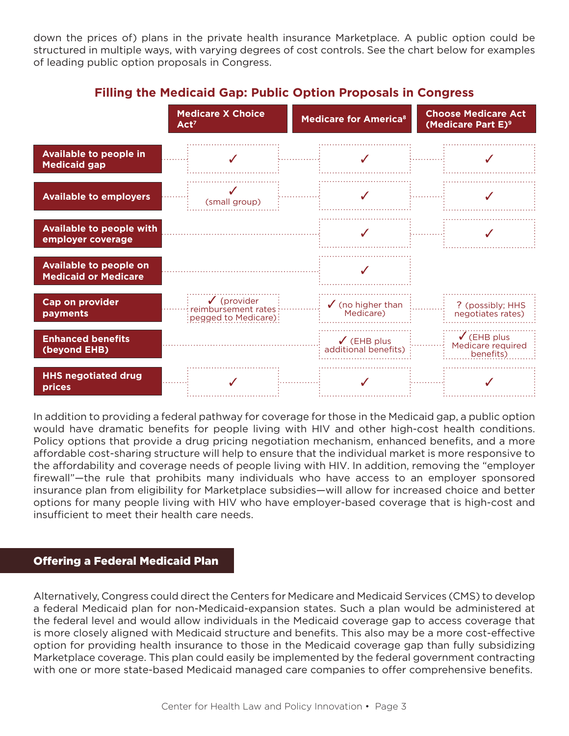down the prices of) plans in the private health insurance Marketplace. A public option could be structured in multiple ways, with varying degrees of cost controls. See the chart below for examples of leading public option proposals in Congress.



# **Filling the Medicaid Gap: Public Option Proposals in Congress**

In addition to providing a federal pathway for coverage for those in the Medicaid gap, a public option would have dramatic benefits for people living with HIV and other high-cost health conditions. Policy options that provide a drug pricing negotiation mechanism, enhanced benefits, and a more affordable cost-sharing structure will help to ensure that the individual market is more responsive to the affordability and coverage needs of people living with HIV. In addition, removing the "employer firewall"—the rule that prohibits many individuals who have access to an employer sponsored insurance plan from eligibility for Marketplace subsidies—will allow for increased choice and better options for many people living with HIV who have employer-based coverage that is high-cost and insufficient to meet their health care needs.

## Offering a Federal Medicaid Plan

Alternatively, Congress could direct the Centers for Medicare and Medicaid Services (CMS) to develop a federal Medicaid plan for non-Medicaid-expansion states. Such a plan would be administered at the federal level and would allow individuals in the Medicaid coverage gap to access coverage that is more closely aligned with Medicaid structure and benefits. This also may be a more cost-effective option for providing health insurance to those in the Medicaid coverage gap than fully subsidizing Marketplace coverage. This plan could easily be implemented by the federal government contracting with one or more state-based Medicaid managed care companies to offer comprehensive benefits.